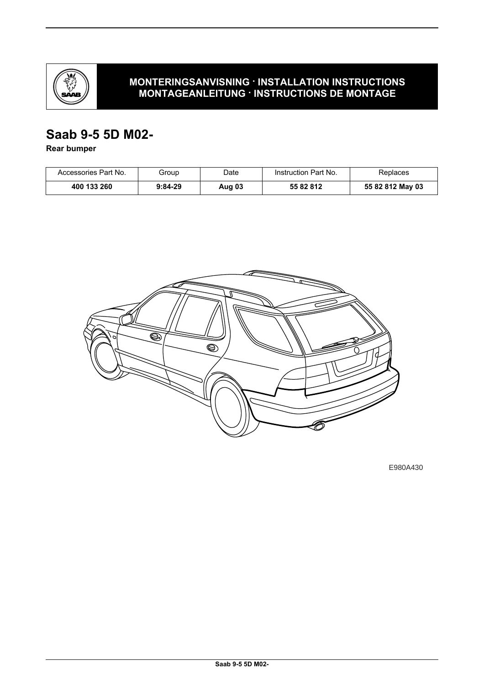

# **MONTERINGSANVISNING · INSTALLATION INSTRUCTIONS MONTAGEANLEITUNG · INSTRUCTIONS DE MONTAGE**

# **Saab 9-5 5D M02-**

**Rear bumper**

| Accessories Part No. | Group     | Date   | Instruction Part No. | Replaces         |
|----------------------|-----------|--------|----------------------|------------------|
| 400 133 260          | $9:84-29$ | Aug 03 | 55 82 812            | 55 82 812 May 03 |



E980A430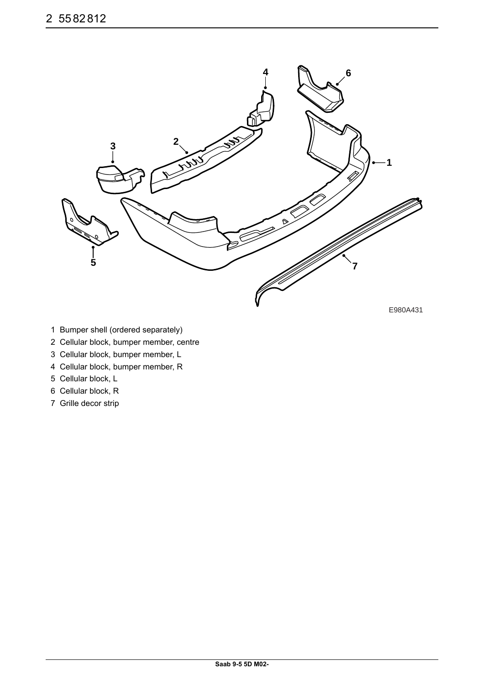

E980A431

- 1 Bumper shell (ordered separately)
- 2 Cellular block, bumper member, centre
- 3 Cellular block, bumper member, L
- 4 Cellular block, bumper member, R
- 5 Cellular block, L
- 6 Cellular block, R
- 7 Grille decor strip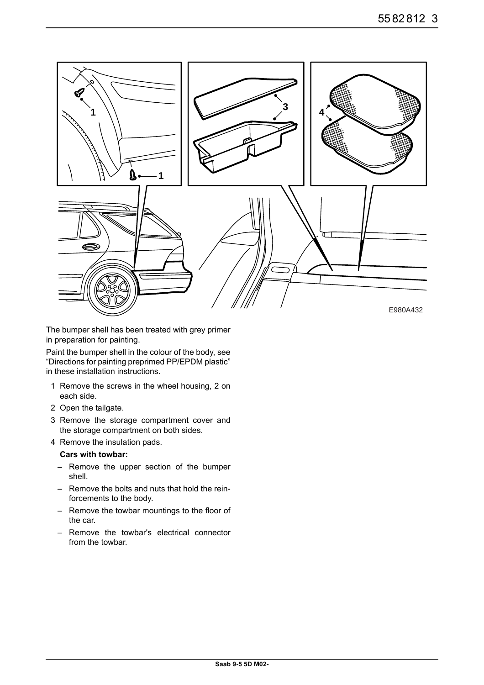

The bumper shell has been treated with grey primer in preparation for painting.

Paint the bumper shell in the colour of the body, see "Directions for painting preprimed PP/EPDM plastic" in these installation instructions.

- 1 Remove the screws in the wheel housing, 2 on each side.
- 2 Open the tailgate.
- 3 Remove the storage compartment cover and the storage compartment on both sides.
- 4 Remove the insulation pads.

#### **Cars with towbar:**

- Remove the upper section of the bumper shell.
- Remove the bolts and nuts that hold the reinforcements to the body.
- Remove the towbar mountings to the floor of the car.
- Remove the towbar's electrical connector from the towbar.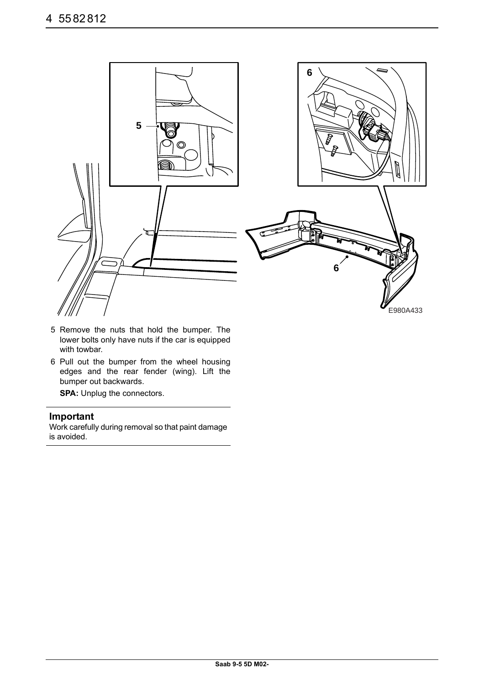

- 5 Remove the nuts that hold the bumper. The lower bolts only have nuts if the car is equipped with towbar.
- 6 Pull out the bumper from the wheel housing edges and the rear fender (wing). Lift the bumper out backwards.

**SPA:** Unplug the connectors.

## **Important**

Work carefully during removal so that paint damage is avoided.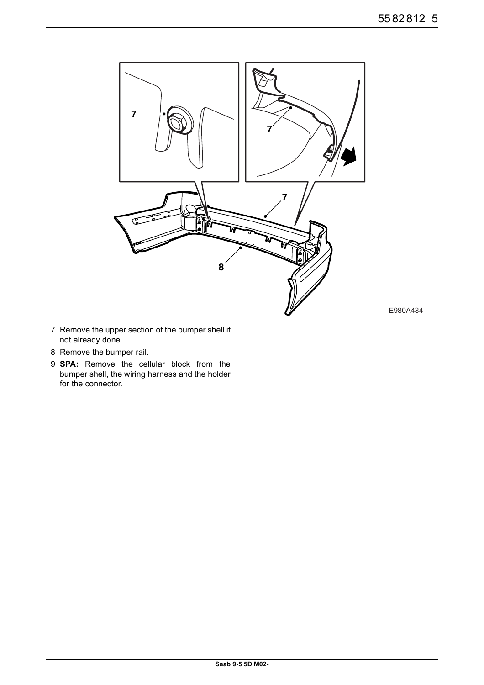

E980A434

- 7 Remove the upper section of the bumper shell if not already done.
- 8 Remove the bumper rail.
- 9 **SPA:** Remove the cellular block from the bumper shell, the wiring harness and the holder for the connector.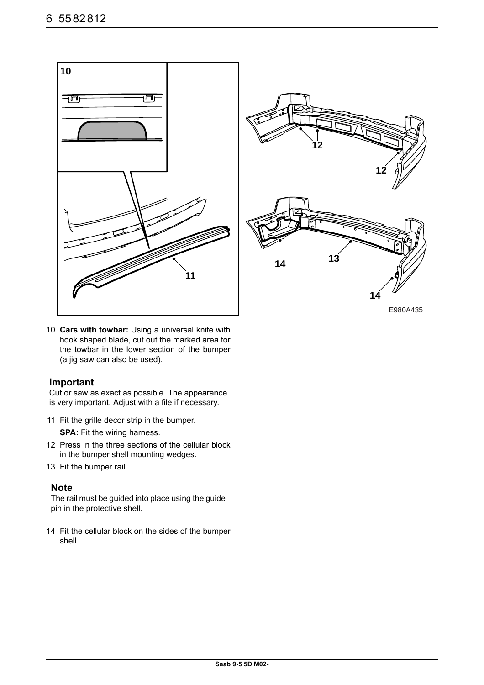



E980A435

10 **Cars with towbar:** Using a universal knife with hook shaped blade, cut out the marked area for the towbar in the lower section of the bumper (a jig saw can also be used).

#### **Important**

Cut or saw as exact as possible. The appearance is very important. Adjust with a file if necessary.

- 11 Fit the grille decor strip in the bumper. **SPA:** Fit the wiring harness.
- 12 Press in the three sections of the cellular block in the bumper shell mounting wedges.
- 13 Fit the bumper rail.

#### **Note**

The rail must be guided into place using the guide pin in the protective shell.

14 Fit the cellular block on the sides of the bumper shell.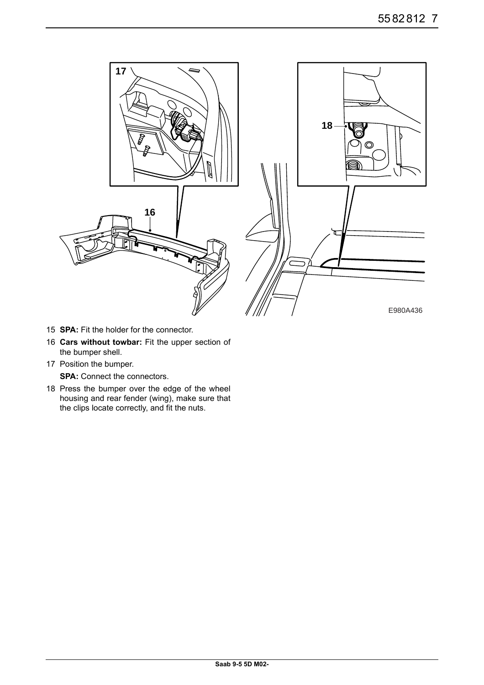

- 15 **SPA:** Fit the holder for the connector.
- 16 **Cars without towbar:** Fit the upper section of the bumper shell.
- 17 Position the bumper.

**SPA:** Connect the connectors.

18 Press the bumper over the edge of the wheel housing and rear fender (wing), make sure that the clips locate correctly, and fit the nuts.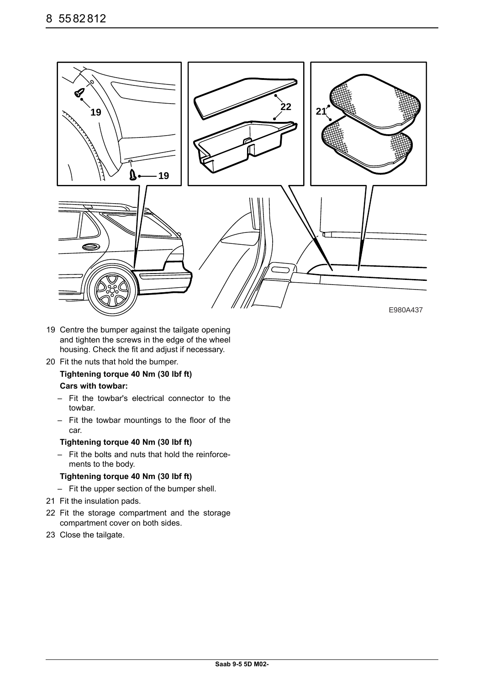

- 19 Centre the bumper against the tailgate opening and tighten the screws in the edge of the wheel housing. Check the fit and adjust if necessary.
- 20 Fit the nuts that hold the bumper.

## **Tightening torque 40 Nm (30 lbf ft)**

#### **Cars with towbar:**

- Fit the towbar's electrical connector to the towbar.
- Fit the towbar mountings to the floor of the car.

#### **Tightening torque 40 Nm (30 lbf ft)**

– Fit the bolts and nuts that hold the reinforcements to the body.

#### **Tightening torque 40 Nm (30 lbf ft)**

- Fit the upper section of the bumper shell.
- 21 Fit the insulation pads.
- 22 Fit the storage compartment and the storage compartment cover on both sides.
- 23 Close the tailgate.